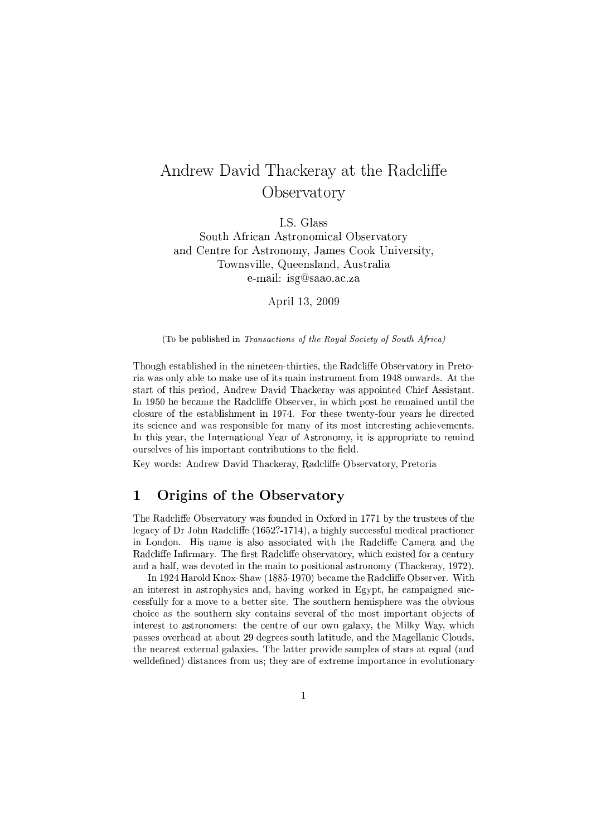# Andrew David Thackeray at the Radcliffe **Observatory**

I.S. Glass

South African Astronomical Observatory and Centre for Astronomy, James Cook University, Townsville, Queensland, Australia e-mail: isg@saao.ac.za

April 13, 2009

(To be published in Transactions of the Royal Society of South Africa)

Though established in the nineteen-thirties, the Radcliffe Observatory in Pretoria was only able to make use of its main instrument from 1948 onwards. At the start of this period, Andrew David Thackeray was appointed Chief Assistant. In 1950 he became the Radcliffe Observer, in which post he remained until the closure of the establishment in 1974. For these twenty-four years he directed its science and was responsible for many of its most interesting achievements. In this year, the International Year of Astronomy, it is appropriate to remind ourselves of his important contributions to the field.

Key words: Andrew David Thackeray, Radcliffe Observatory, Pretoria

### 1 Origins of the Observatory

The Radcliffe Observatory was founded in Oxford in 1771 by the trustees of the legacy of Dr John Radcliffe (1652?-1714), a highly successful medical practioner in London. His name is also associated with the Radcliffe Camera and the Radcliffe Infirmary. The first Radcliffe observatory, which existed for a century and a half, was devoted in the main to positional astronomy (Thackeray, 1972).

In 1924 Harold Knox-Shaw (1885-1970) became the Radcliffe Observer. With an interest in astrophysics and, having worked in Egypt, he campaigned successfully for a move to a better site. The southern hemisphere was the obvious choice as the southern sky contains several of the most important objects of interest to astronomers: the centre of our own galaxy, the Milky Way, which passes overhead at about 29 degrees south latitude, and the Magellanic Clouds, the nearest external galaxies. The latter provide samples of stars at equal (and welldefined) distances from us; they are of extreme importance in evolutionary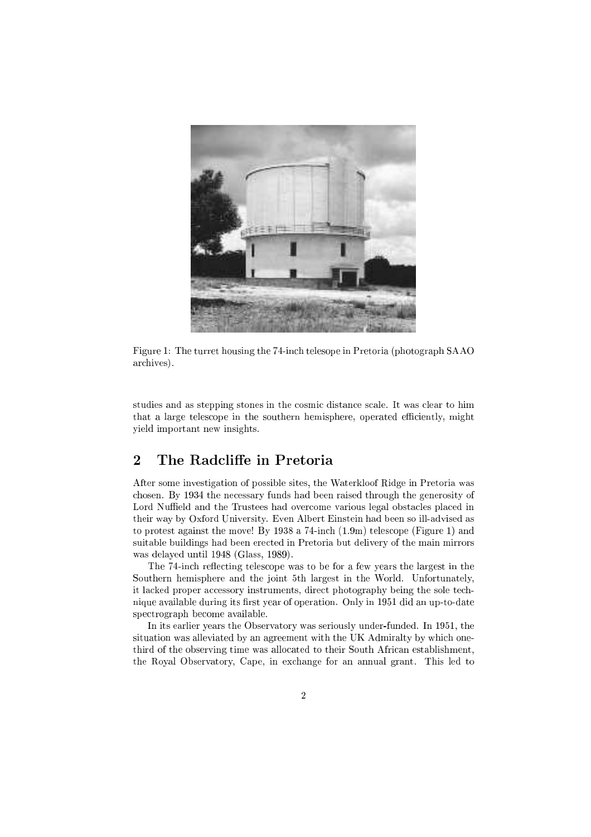

Figure 1: The turret housing the 74-inch telesope in Pretoria (photograph SAAO archives).

studies and as stepping stones in the cosmic distance scale. It was clear to him that a large telescope in the southern hemisphere, operated efficiently, might yield important new insights.

#### $\overline{2}$ The Radcliffe in Pretoria

After some investigation of possible sites, the Waterkloof Ridge in Pretoria was chosen. By 1934 the necessary funds had been raised through the generosity of Lord Nuffield and the Trustees had overcome various legal obstacles placed in their way by Oxford University. Even Albert Einstein had been so ill-advised as to protest against the move! By 1938 a 74-inch (1.9m) telescope (Figure 1) and suitable buildings had been erected in Pretoria but delivery of the main mirrors was delayed until 1948 (Glass, 1989).

The 74-inch reflecting telescope was to be for a few years the largest in the Southern hemisphere and the joint 5th largest in the World. Unfortunately, it lacked proper accessory instruments, direct photography being the sole technique available during its first year of operation. Only in 1951 did an up-to-date spectrograph become available.

In its earlier years the Observatory was seriously under-funded. In 1951, the situation was alleviated by an agreement with the UK Admiralty by which onethird of the observing time was allocated to their South African establishment, the Royal Observatory, Cape, in exchange for an annual grant. This led to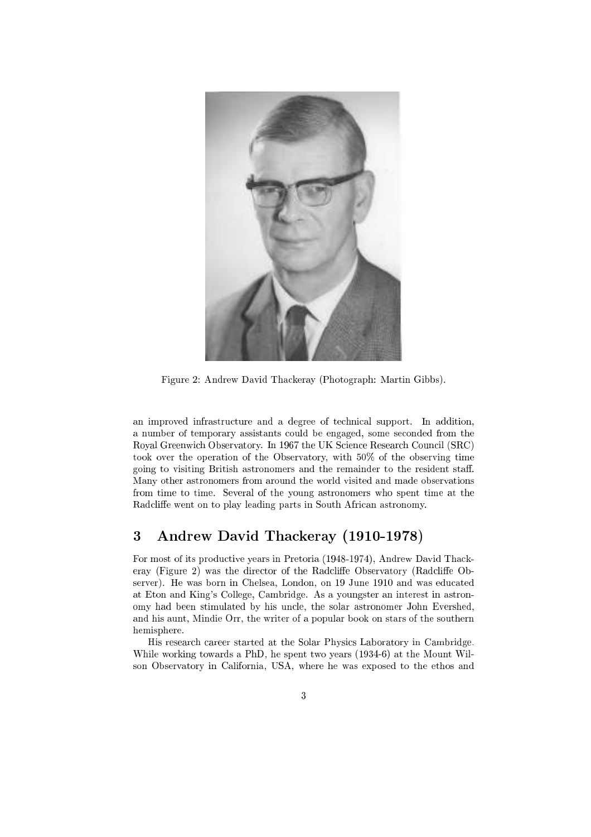

Figure 2: Andrew David Thackeray (Photograph: Martin Gibbs).

an improved infrastructure and a degree of technical support. In addition, a number of temporary assistants could be engaged, some seconded from the Royal Greenwich Observatory. In 1967 the UK Science Research Council (SRC) took over the operation of the Observatory, with 50% of the observing time going to visiting British astronomers and the remainder to the resident staff. Many other astronomers from around the world visited and made observations from time to time. Several of the young astronomers who spent time at the Radcliffe went on to play leading parts in South African astronomy.

# 3 Andrew David Thackeray (1910-1978)

For most of its productive years in Pretoria (1948-1974), Andrew David Thackeray (Figure 2) was the director of the Radcliffe Observatory (Radcliffe Observer). He was born in Chelsea, London, on 19 June 1910 and was educated at Eton and King's College, Cambridge. As a youngster an interest in astronomy had been stimulated by his uncle, the solar astronomer John Evershed, and his aunt, Mindie Orr, the writer of a popular book on stars of the southern hemisphere.

His research career started at the Solar Physics Laboratory in Cambridge. While working towards a PhD, he spent two years (1934-6) at the Mount Wilson Observatory in California, USA, where he was exposed to the ethos and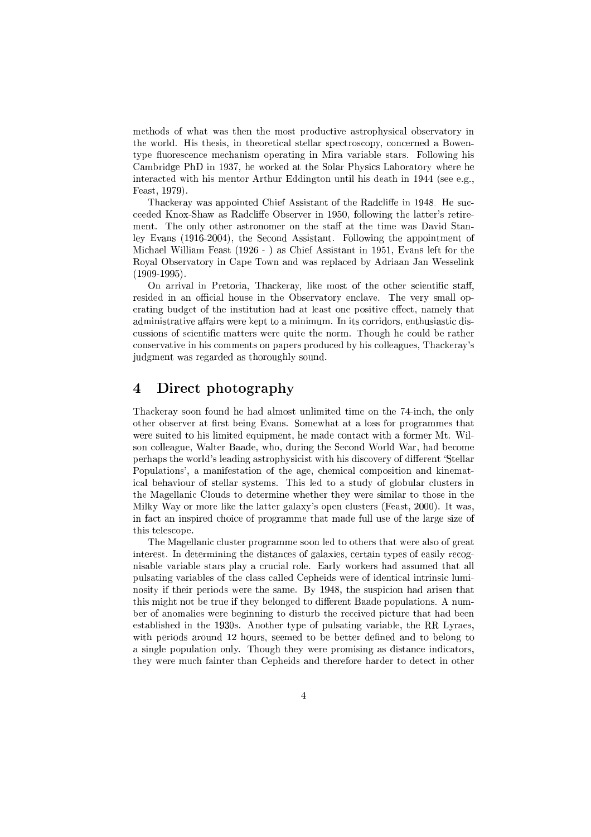methods of what was then the most productive astrophysical observatory in the world. His thesis, in theoretical stellar spectroscopy, concerned a Bowentype fluorescence mechanism operating in Mira variable stars. Following his Cambridge PhD in 1937, he worked at the Solar Physics Laboratory where he interacted with his mentor Arthur Eddington until his death in 1944 (see e.g., Feast, 1979).

Thackeray was appointed Chief Assistant of the Radcliffe in 1948. He succeeded Knox-Shaw as Radcliffe Observer in 1950, following the latter's retirement. The only other astronomer on the staff at the time was David Stanley Evans (1916-2004), the Second Assistant. Following the appointment of Michael William Feast (1926 - ) as Chief Assistant in 1951, Evans left for the Royal Observatory in Cape Town and was replaced by Adriaan Jan Wesselink  $(1909-1995)$ .

On arrival in Pretoria, Thackeray, like most of the other scientific staff, resided in an official house in the Observatory enclave. The very small operating budget of the institution had at least one positive effect, namely that administrative affairs were kept to a minimum. In its corridors, enthusiastic discussions of scientic matters were quite the norm. Though he could be rather conservative in his comments on papers produced by his colleagues, Thackeray's judgment was regarded as thoroughly sound.

# 4 Direct photography

Thackeray soon found he had almost unlimited time on the 74-inch, the only other observer at first being Evans. Somewhat at a loss for programmes that were suited to his limited equipment, he made contact with a former Mt. Wilson colleague, Walter Baade, who, during the Second World War, had become perhaps the world's leading astrophysicist with his discovery of different 'Stellar Populations', a manifestation of the age, chemical composition and kinematical behaviour of stellar systems. This led to a study of globular clusters in the Magellanic Clouds to determine whether they were similar to those in the Milky Way or more like the latter galaxy's open clusters (Feast, 2000). It was, in fact an inspired choice of programme that made full use of the large size of this telescope.

The Magellanic cluster programme soon led to others that were also of great interest. In determining the distances of galaxies, certain types of easily recognisable variable stars play a crucial role. Early workers had assumed that all pulsating variables of the class called Cepheids were of identical intrinsic luminosity if their periods were the same. By 1948, the suspicion had arisen that this might not be true if they belonged to different Baade populations. A number of anomalies were beginning to disturb the received picture that had been established in the 1930s. Another type of pulsating variable, the RR Lyraes, with periods around 12 hours, seemed to be better defined and to belong to a single population only. Though they were promising as distance indicators, they were much fainter than Cepheids and therefore harder to detect in other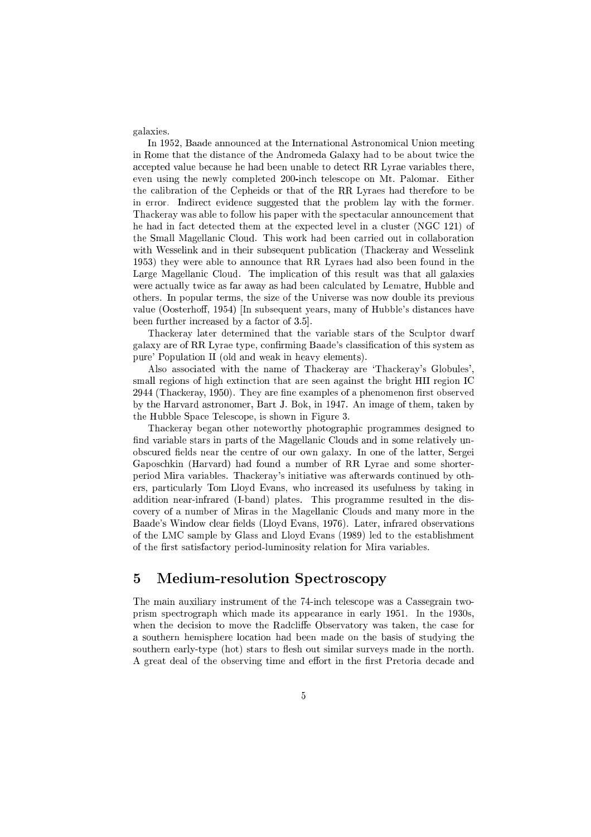galaxies.

In 1952, Baade announced at the International Astronomical Union meeting in Rome that the distance of the Andromeda Galaxy had to be about twice the accepted value because he had been unable to detect RR Lyrae variables there, even using the newly completed 200-inch telescope on Mt. Palomar. Either the calibration of the Cepheids or that of the RR Lyraes had therefore to be in error. Indirect evidence suggested that the problem lay with the former. Thackeray was able to follow his paper with the spectacular announcement that he had in fact detected them at the expected level in a cluster (NGC 121) of the Small Magellanic Cloud. This work had been carried out in collaboration with Wesselink and in their subsequent publication (Thackeray and Wesselink 1953) they were able to announce that RR Lyraes had also been found in the Large Magellanic Cloud. The implication of this result was that all galaxies were actually twice as far away as had been calculated by Lematre, Hubble and others. In popular terms, the size of the Universe was now double its previous value (Oosterhoff, 1954) [In subsequent years, many of Hubble's distances have been further increased by a factor of 3.5].

Thackeray later determined that the variable stars of the Sculptor dwarf galaxy are of RR Lyrae type, conrming Baade's classication of this system as pure' Population II (old and weak in heavy elements).

Also associated with the name of Thackeray are `Thackeray's Globules', small regions of high extinction that are seen against the bright HII region IC  $2944$  (Thackeray, 1950). They are fine examples of a phenomenon first observed by the Harvard astronomer, Bart J. Bok, in 1947. An image of them, taken by the Hubble Space Telescope, is shown in Figure 3.

Thackeray began other noteworthy photographic programmes designed to find variable stars in parts of the Magellanic Clouds and in some relatively unobscured fields near the centre of our own galaxy. In one of the latter, Sergei Gaposchkin (Harvard) had found a number of RR Lyrae and some shorterperiod Mira variables. Thackeray's initiative was afterwards continued by others, particularly Tom Lloyd Evans, who increased its usefulness by taking in addition near-infrared (I-band) plates. This programme resulted in the discovery of a number of Miras in the Magellanic Clouds and many more in the Baade's Window clear fields (Lloyd Evans, 1976). Later, infrared observations of the LMC sample by Glass and Lloyd Evans (1989) led to the establishment of the first satisfactory period-luminosity relation for Mira variables.

### 5 Medium-resolution Spectroscopy

The main auxiliary instrument of the 74-inch telescope was a Cassegrain twoprism spectrograph which made its appearance in early 1951. In the 1930s, when the decision to move the Radcliffe Observatory was taken, the case for a southern hemisphere location had been made on the basis of studying the southern early-type (hot) stars to flesh out similar surveys made in the north. A great deal of the observing time and effort in the first Pretoria decade and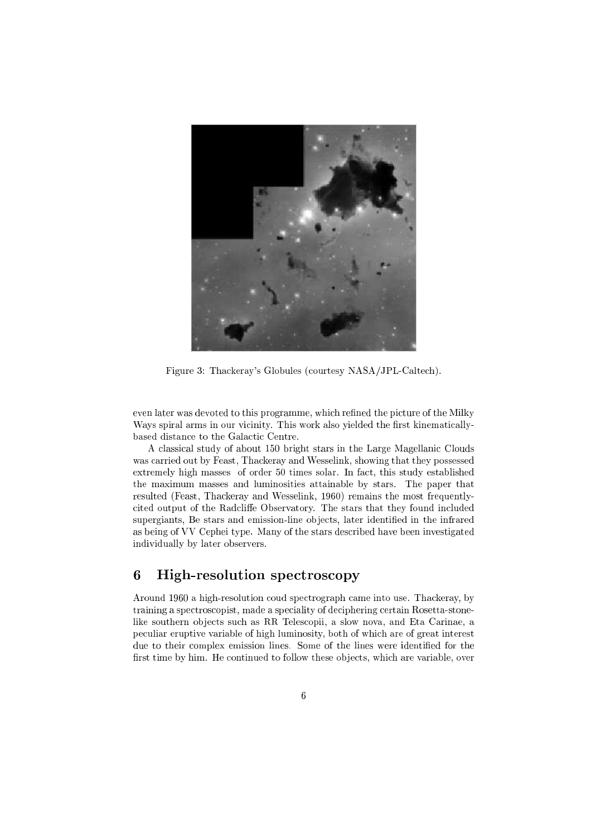

Figure 3: Thackeray's Globules (courtesy NASA/JPL-Caltech).

even later was devoted to this programme, which refined the picture of the Milky Ways spiral arms in our vicinity. This work also yielded the first kinematicallybased distance to the Galactic Centre.

A classical study of about 150 bright stars in the Large Magellanic Clouds was carried out by Feast, Thackeray and Wesselink, showing that they possessed extremely high masses of order 50 times solar. In fact, this study established the maximum masses and luminosities attainable by stars. The paper that resulted (Feast, Thackeray and Wesselink, 1960) remains the most frequentlycited output of the Radcliffe Observatory. The stars that they found included supergiants, Be stars and emission-line objects, later identified in the infrared as being of VV Cephei type. Many of the stars described have been investigated individually by later observers.

#### 6 6 High-resolution spectroscopy

Around 1960 a high-resolution coud spectrograph came into use. Thackeray, by training a spectroscopist, made a speciality of deciphering certain Rosetta-stonelike southern objects such as RR Telescopii, a slow nova, and Eta Carinae, a peculiar eruptive variable of high luminosity, both of which are of great interest due to their complex emission lines. Some of the lines were identified for the first time by him. He continued to follow these objects, which are variable, over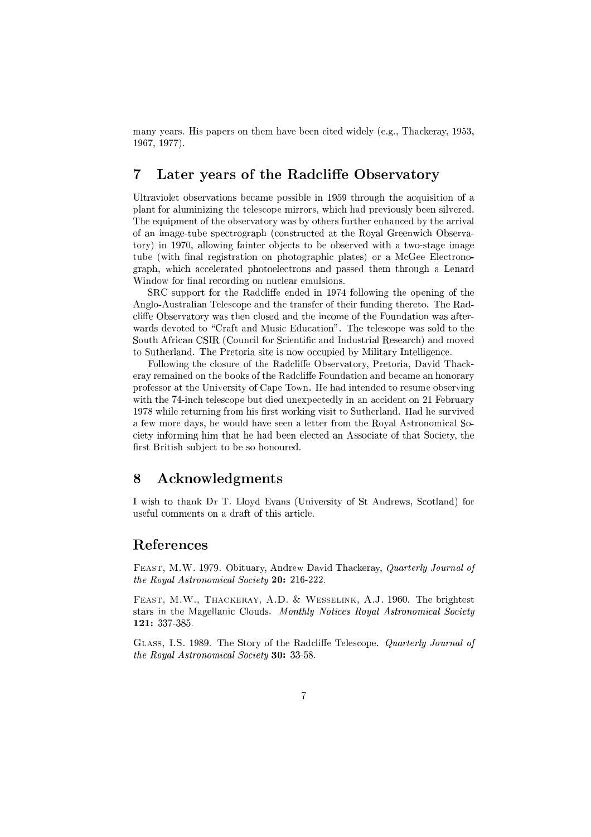many years. His papers on them have been cited widely (e.g., Thackeray, 1953, 1967, 1977).

# 7 Later years of the Radcliffe Observatory

Ultraviolet observations became possible in 1959 through the acquisition of a plant for aluminizing the telescope mirrors, which had previously been silvered. The equipment of the observatory was by others further enhanced by the arrival of an image-tube spectrograph (constructed at the Royal Greenwich Observatory) in 1970, allowing fainter objects to be observed with a two-stage image tube (with final registration on photographic plates) or a McGee Electronograph, which accelerated photoelectrons and passed them through a Lenard Window for final recording on nuclear emulsions.

SRC support for the Radcliffe ended in 1974 following the opening of the Anglo-Australian Telescope and the transfer of their funding thereto. The Radcliffe Observatory was then closed and the income of the Foundation was afterwards devoted to "Craft and Music Education". The telescope was sold to the South African CSIR (Council for Scientic and Industrial Research) and moved to Sutherland. The Pretoria site is now occupied by Military Intelligence.

Following the closure of the Radcliffe Observatory, Pretoria, David Thackeray remained on the books of the Radcliffe Foundation and became an honorary professor at the University of Cape Town. He had intended to resume observing with the 74-inch telescope but died unexpectedly in an accident on 21 February 1978 while returning from his first working visit to Sutherland. Had he survived a few more days, he would have seen a letter from the Royal Astronomical Society informing him that he had been elected an Associate of that Society, the first British subject to be so honoured.

### 8 Acknowledgments

I wish to thank Dr T. Lloyd Evans (University of St Andrews, Scotland) for useful comments on a draft of this article.

#### References

Feast, M.W. 1979. Obituary, Andrew David Thackeray, Quarterly Journal of the Royal Astronomical Society 20: 216-222.

Feast, M.W., Thackeray, A.D. & Wesselink, A.J. 1960. The brightest stars in the Magellanic Clouds. Monthly Notices Royal Astronomical Society 121: 337-385.

GLASS, I.S. 1989. The Story of the Radcliffe Telescope. Quarterly Journal of the Royal Astronomical Society 30: 33-58.